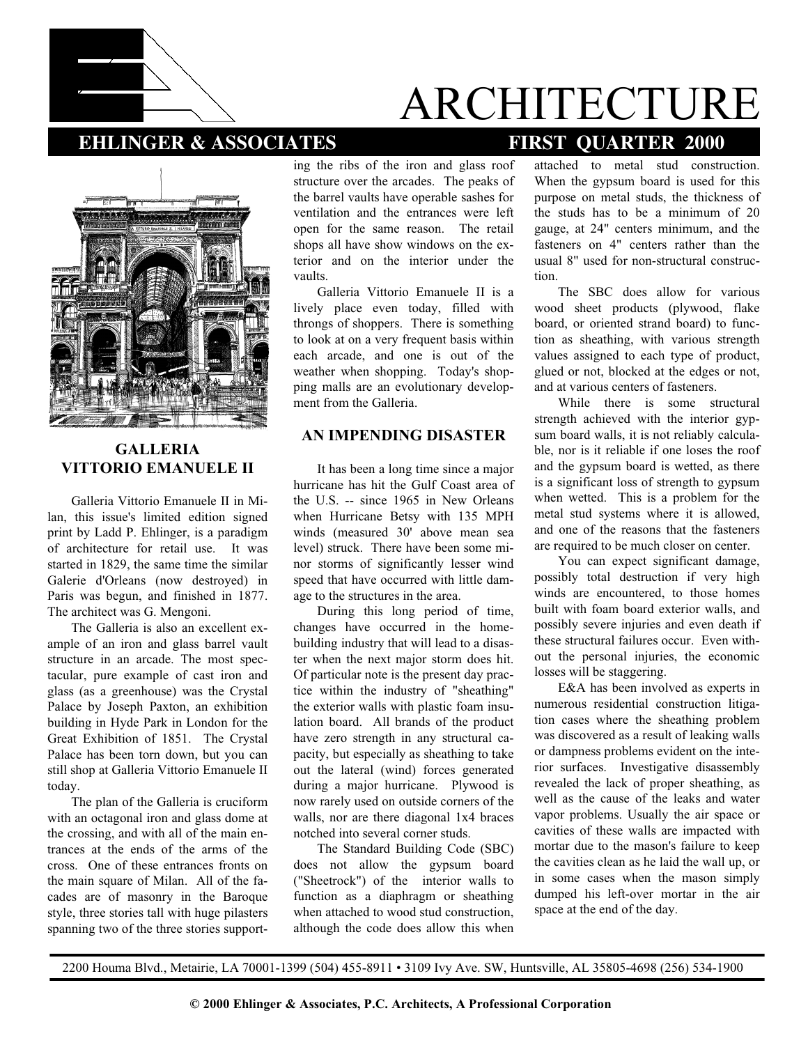

# ARCHITECTURE

# **EHLINGER & ASSOCIATES FIRST QUARTER 2000**



### **GALLERIA VITTORIO EMANUELE II**

Galleria Vittorio Emanuele II in Milan, this issue's limited edition signed print by Ladd P. Ehlinger, is a paradigm of architecture for retail use. It was started in 1829, the same time the similar Galerie d'Orleans (now destroyed) in Paris was begun, and finished in 1877. The architect was G. Mengoni.

The Galleria is also an excellent example of an iron and glass barrel vault structure in an arcade. The most spectacular, pure example of cast iron and glass (as a greenhouse) was the Crystal Palace by Joseph Paxton, an exhibition building in Hyde Park in London for the Great Exhibition of 1851. The Crystal Palace has been torn down, but you can still shop at Galleria Vittorio Emanuele II today.

The plan of the Galleria is cruciform with an octagonal iron and glass dome at the crossing, and with all of the main entrances at the ends of the arms of the cross. One of these entrances fronts on the main square of Milan. All of the facades are of masonry in the Baroque style, three stories tall with huge pilasters spanning two of the three stories supporting the ribs of the iron and glass roof structure over the arcades. The peaks of the barrel vaults have operable sashes for ventilation and the entrances were left open for the same reason. The retail shops all have show windows on the exterior and on the interior under the vaults.

Galleria Vittorio Emanuele II is a lively place even today, filled with throngs of shoppers. There is something to look at on a very frequent basis within each arcade, and one is out of the weather when shopping. Today's shopping malls are an evolutionary development from the Galleria.

### **AN IMPENDING DISASTER**

It has been a long time since a major hurricane has hit the Gulf Coast area of the U.S. -- since 1965 in New Orleans when Hurricane Betsy with 135 MPH winds (measured 30' above mean sea level) struck. There have been some minor storms of significantly lesser wind speed that have occurred with little damage to the structures in the area.

During this long period of time, changes have occurred in the homebuilding industry that will lead to a disaster when the next major storm does hit. Of particular note is the present day practice within the industry of "sheathing" the exterior walls with plastic foam insulation board. All brands of the product have zero strength in any structural capacity, but especially as sheathing to take out the lateral (wind) forces generated during a major hurricane. Plywood is now rarely used on outside corners of the walls, nor are there diagonal 1x4 braces notched into several corner studs.

The Standard Building Code (SBC) does not allow the gypsum board ("Sheetrock") of the interior walls to function as a diaphragm or sheathing when attached to wood stud construction, although the code does allow this when

attached to metal stud construction. When the gypsum board is used for this purpose on metal studs, the thickness of the studs has to be a minimum of 20 gauge, at 24" centers minimum, and the fasteners on 4" centers rather than the usual 8" used for non-structural construction.

The SBC does allow for various wood sheet products (plywood, flake board, or oriented strand board) to function as sheathing, with various strength values assigned to each type of product, glued or not, blocked at the edges or not, and at various centers of fasteners.

While there is some structural strength achieved with the interior gypsum board walls, it is not reliably calculable, nor is it reliable if one loses the roof and the gypsum board is wetted, as there is a significant loss of strength to gypsum when wetted. This is a problem for the metal stud systems where it is allowed, and one of the reasons that the fasteners are required to be much closer on center.

You can expect significant damage, possibly total destruction if very high winds are encountered, to those homes built with foam board exterior walls, and possibly severe injuries and even death if these structural failures occur. Even without the personal injuries, the economic losses will be staggering.

E&A has been involved as experts in numerous residential construction litigation cases where the sheathing problem was discovered as a result of leaking walls or dampness problems evident on the interior surfaces. Investigative disassembly revealed the lack of proper sheathing, as well as the cause of the leaks and water vapor problems. Usually the air space or cavities of these walls are impacted with mortar due to the mason's failure to keep the cavities clean as he laid the wall up, or in some cases when the mason simply dumped his left-over mortar in the air space at the end of the day.

2200 Houma Blvd., Metairie, LA 70001-1399 (504) 455-8911 • 3109 Ivy Ave. SW, Huntsville, AL 35805-4698 (256) 534-1900